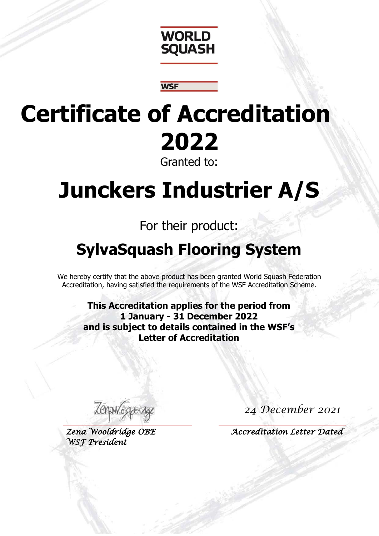

## **Certificate of Accreditation 2022** Granted to:

**WSF** 

# **Junckers Industrier A/S**

### For their product:

### **SylvaSquash Flooring System**

We hereby certify that the above product has been granted World Squash Federation Accreditation, having satisfied the requirements of the WSF Accreditation Scheme.

**This Accreditation applies for the period from 1 January - 31 December 2022 and is subject to details contained in the WSF's Letter of Accreditation** 

Lenano

*Zena Wooldridge OBE WSF President* 

*24 December 2021*

 *Accreditation Letter Dated*